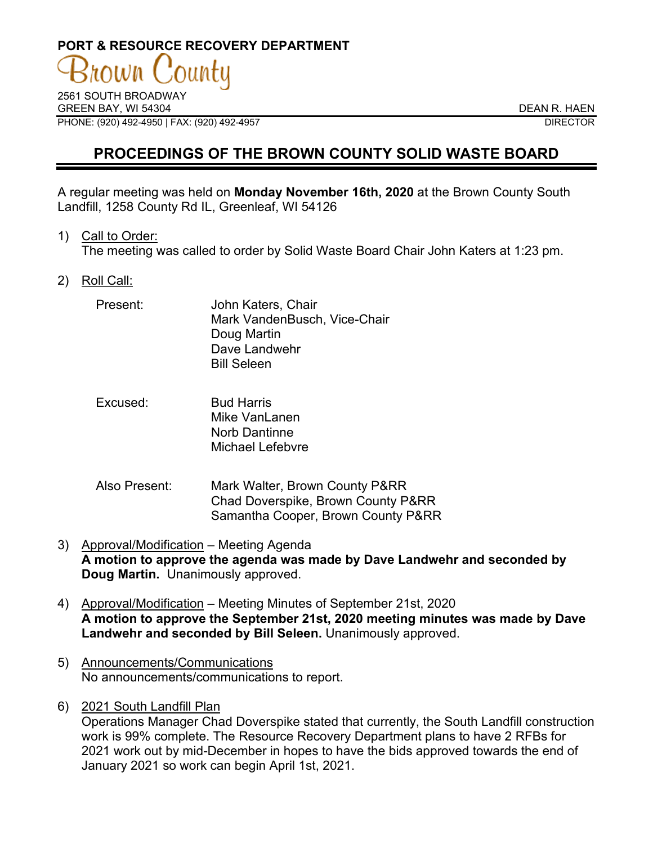# **PORT & RESOURCE RECOVERY DEPARTMENT**

2561 SOUTH BROADWAY GREEN BAY. WI 54304 DEAN R. HAEN PHONE: (920) 492-4950 | FAX: (920) 492-4957 DIRECTOR

# **PROCEEDINGS OF THE BROWN COUNTY SOLID WASTE BOARD**

A regular meeting was held on **Monday November 16th, 2020** at the Brown County South Landfill, 1258 County Rd IL, Greenleaf, WI 54126

1) Call to Order:

The meeting was called to order by Solid Waste Board Chair John Katers at 1:23 pm.

2) Roll Call:

| Present: | John Katers, Chair           |
|----------|------------------------------|
|          | Mark VandenBusch, Vice-Chair |
|          | Doug Martin                  |
|          | Dave Landwehr                |
|          | <b>Bill Seleen</b>           |

- Excused: Bud Harris Mike Vanl anen Norb Dantinne Michael Lefebvre
- Also Present: Mark Walter, Brown County P&RR Chad Doverspike, Brown County P&RR Samantha Cooper, Brown County P&RR
- 3) Approval/Modification Meeting Agenda **A motion to approve the agenda was made by Dave Landwehr and seconded by Doug Martin.** Unanimously approved.
- 4) Approval/Modification Meeting Minutes of September 21st, 2020 **A motion to approve the September 21st, 2020 meeting minutes was made by Dave Landwehr and seconded by Bill Seleen.** Unanimously approved.
- 5) Announcements/Communications No announcements/communications to report.
- 6) 2021 South Landfill Plan

Operations Manager Chad Doverspike stated that currently, the South Landfill construction work is 99% complete. The Resource Recovery Department plans to have 2 RFBs for 2021 work out by mid-December in hopes to have the bids approved towards the end of January 2021 so work can begin April 1st, 2021.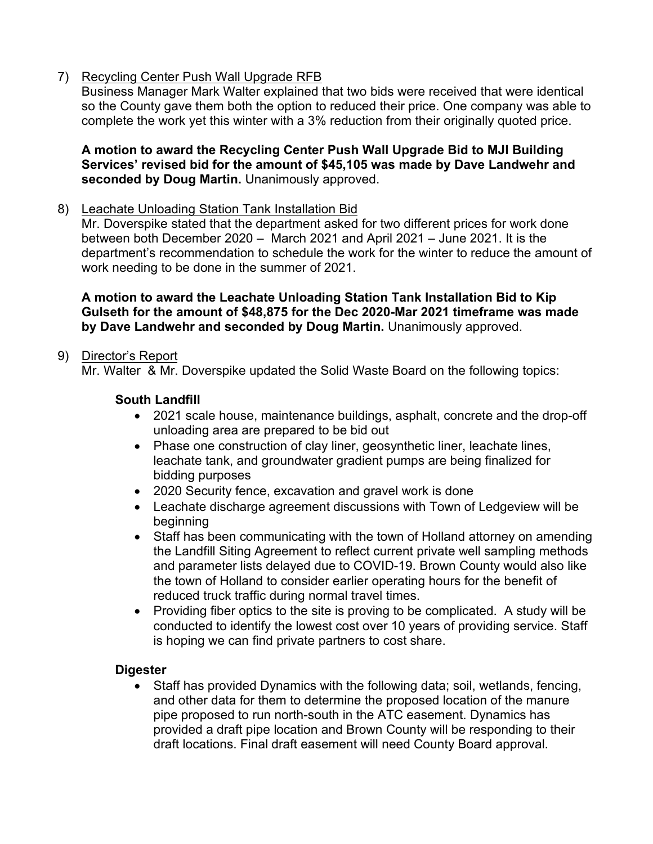7) Recycling Center Push Wall Upgrade RFB

Business Manager Mark Walter explained that two bids were received that were identical so the County gave them both the option to reduced their price. One company was able to complete the work yet this winter with a 3% reduction from their originally quoted price.

#### **A motion to award the Recycling Center Push Wall Upgrade Bid to MJI Building Services' revised bid for the amount of \$45,105 was made by Dave Landwehr and seconded by Doug Martin.** Unanimously approved.

#### 8) Leachate Unloading Station Tank Installation Bid

Mr. Doverspike stated that the department asked for two different prices for work done between both December 2020 – March 2021 and April 2021 – June 2021. It is the department's recommendation to schedule the work for the winter to reduce the amount of work needing to be done in the summer of 2021.

**A motion to award the Leachate Unloading Station Tank Installation Bid to Kip Gulseth for the amount of \$48,875 for the Dec 2020-Mar 2021 timeframe was made by Dave Landwehr and seconded by Doug Martin.** Unanimously approved.

## 9) Director's Report

Mr. Walter & Mr. Doverspike updated the Solid Waste Board on the following topics:

#### **South Landfill**

- 2021 scale house, maintenance buildings, asphalt, concrete and the drop-off unloading area are prepared to be bid out
- Phase one construction of clay liner, geosynthetic liner, leachate lines, leachate tank, and groundwater gradient pumps are being finalized for bidding purposes
- 2020 Security fence, excavation and gravel work is done
- Leachate discharge agreement discussions with Town of Ledgeview will be beginning
- Staff has been communicating with the town of Holland attorney on amending the Landfill Siting Agreement to reflect current private well sampling methods and parameter lists delayed due to COVID-19. Brown County would also like the town of Holland to consider earlier operating hours for the benefit of reduced truck traffic during normal travel times.
- Providing fiber optics to the site is proving to be complicated. A study will be conducted to identify the lowest cost over 10 years of providing service. Staff is hoping we can find private partners to cost share.

#### **Digester**

• Staff has provided Dynamics with the following data; soil, wetlands, fencing, and other data for them to determine the proposed location of the manure pipe proposed to run north-south in the ATC easement. Dynamics has provided a draft pipe location and Brown County will be responding to their draft locations. Final draft easement will need County Board approval.